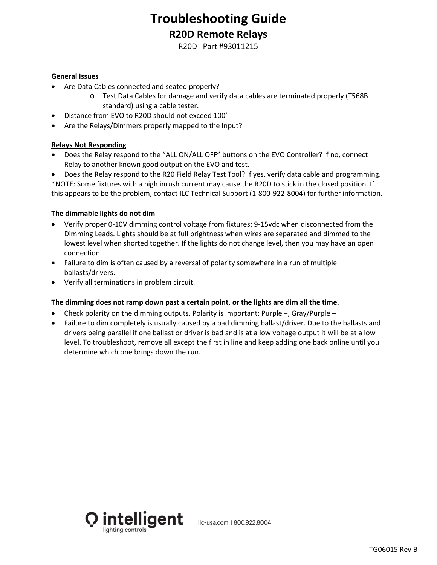## **Troubleshooting Guide R20D Remote Relays**

R20D Part #93011215

### **General Issues**

- Are Data Cables connected and seated properly?
	- o Test Data Cables for damage and verify data cables are terminated properly (T568B standard) using a cable tester.
- Distance from EVO to R20D should not exceed 100'
- Are the Relays/Dimmers properly mapped to the Input?

#### **Relays Not Responding**

• Does the Relay respond to the "ALL ON/ALL OFF" buttons on the EVO Controller? If no, connect Relay to another known good output on the EVO and test.

• Does the Relay respond to the R20 Field Relay Test Tool? If yes, verify data cable and programming.

\*NOTE: Some fixtures with a high inrush current may cause the R20D to stick in the closed position. If this appears to be the problem, contact ILC Technical Support (1-800-922-8004) for further information.

#### **The dimmable lights do not dim**

- Verify proper 0-10V dimming control voltage from fixtures: 9-15vdc when disconnected from the Dimming Leads. Lights should be at full brightness when wires are separated and dimmed to the lowest level when shorted together. If the lights do not change level, then you may have an open connection.
- Failure to dim is often caused by a reversal of polarity somewhere in a run of multiple ballasts/drivers.
- Verify all terminations in problem circuit.

#### **The dimming does not ramp down past a certain point, or the lights are dim all the time.**

- Check polarity on the dimming outputs. Polarity is important: Purple  $+$ , Gray/Purple –
- Failure to dim completely is usually caused by a bad dimming ballast/driver. Due to the ballasts and drivers being parallel if one ballast or driver is bad and is at a low voltage output it will be at a low level. To troubleshoot, remove all except the first in line and keep adding one back online until you determine which one brings down the run.



ilc-usa.com | 800.922.8004